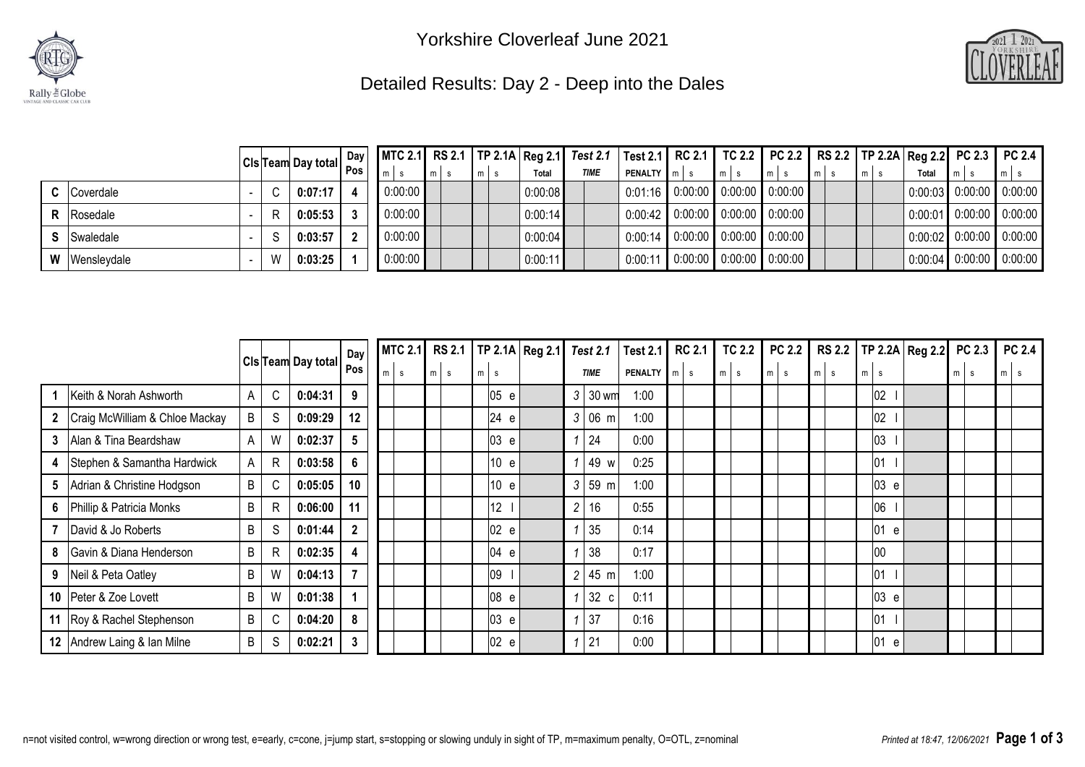



## Detailed Results: Day 2 - Deep into the Dales

|                      |  |                                                      | $Day \vert$ |             |     |      |         | MTC 2.1   RS 2.1   TP 2.1A   Reg 2.1   Test 2.1   Test 2.1   RC 2.1   TC 2.2   PC 2.2   RS 2.2   TP 2.2A   Reg 2.2   PC 2.3   PC 2.4 |                                         |                                   |       |       |       |                            |       |                                                           |
|----------------------|--|------------------------------------------------------|-------------|-------------|-----|------|---------|--------------------------------------------------------------------------------------------------------------------------------------|-----------------------------------------|-----------------------------------|-------|-------|-------|----------------------------|-------|-----------------------------------------------------------|
|                      |  | $ Cls$ Team Day total $\left \frac{Day}{Pos}\right $ |             | $m$ s       | mls | Imis | Total   | <b>TIME</b>                                                                                                                          | <b>PENALTY</b> m s                      |                                   | $m$ s | $m$ s | $m$ s | $\mathsf{Im} \mathsf{L}$ s | Total | $m$ s                                                     |
| <b>C</b> Coverdale   |  | 0:07:17                                              |             | $0:00:00$ 1 |     |      | 0:00:08 |                                                                                                                                      | $\vert$ 0.01.16 0.00.00 0.00.00 0.00.00 |                                   |       |       |       |                            |       | $\vert 0.00.03 \vert 0.00.00 \vert 0.00.00 \vert$         |
| <b>R</b> Rosedale    |  | 0:05:53                                              |             | 0:00:00     |     |      | 0:00:14 |                                                                                                                                      | $0.00.42$ 0.00.00 0.00.00 0.00.00       |                                   |       |       |       |                            |       | $\begin{bmatrix} 0.00.01 & 0.0000 & 0.0000 \end{bmatrix}$ |
| <b>S</b> Swaledale   |  | 0:03:57                                              |             | 0:00:00     |     |      | 0:00:04 |                                                                                                                                      |                                         | $0.00:14$ 0.00.00 0.00.00 0.00.00 |       |       |       |                            |       | $0.00:02$ 0:00:00 0:00:00                                 |
| <b>W</b> Wensleydale |  | 0:03:25                                              |             | 0:00:00     |     |      | 0:00:11 |                                                                                                                                      | $\mid$ 0:00:11 0:00:00 0:00:00 0:00:00  |                                   |       |       |       |                            |       | $\vert 0.00.04 \vert 0.00.00 \vert 0.00.00 \vert$         |

|              |                                |   |              |                           | Day            | <b>MTC 2.1</b> |       | <b>RS 2.1</b> |       |      | TP 2.1A Reg 2.1 | <b>Test 2.1</b>        | <b>Test 2.1</b> | <b>RC 2.1</b> | <b>TC 2.2</b> |       | <b>PC 2.2</b> | <b>RS 2.2</b> | TP 2.2A   Reg 2.2   PC 2.3 |          | PC 2.4                        |
|--------------|--------------------------------|---|--------------|---------------------------|----------------|----------------|-------|---------------|-------|------|-----------------|------------------------|-----------------|---------------|---------------|-------|---------------|---------------|----------------------------|----------|-------------------------------|
|              |                                |   |              | <b>Cis Team Day total</b> | Pos            | $m$ s          | $m$ s |               | $m$ s |      |                 | <b>TIME</b>            | <b>PENALTY</b>  | $m$ s         | $m$ s         | $m$ s |               | mls           | m <sub>l</sub><br><b>S</b> | m<br>∣s. | m<br>$\overline{\phantom{a}}$ |
|              | Keith & Norah Ashworth         | A | $\mathsf C$  | 0:04:31                   | 9              |                |       |               |       | 05 e |                 | $3 30$ wm              | 1:00            |               |               |       |               |               | 02                         |          |                               |
| $\mathbf{2}$ | Craig McWilliam & Chloe Mackay | B | S            | 0:09:29                   | 12             |                |       |               |       | 24 e |                 | $3 06$ m               | 1:00            |               |               |       |               |               | 02                         |          |                               |
|              | 3 Alan & Tina Beardshaw        | A | W            | 0:02:37                   | 5              |                |       |               |       | 03 e |                 | 24                     | 0:00            |               |               |       |               |               | 03                         |          |                               |
| 4            | Stephen & Samantha Hardwick    | A | $\mathsf{R}$ | 0:03:58                   | 6              |                |       |               |       | 10 e |                 | 49 w                   | 0:25            |               |               |       |               |               | 01                         |          |                               |
|              | 5 Adrian & Christine Hodgson   | B | C            | 0:05:05                   | 10             |                |       |               |       | 10 e |                 | 59 m<br>3 <sup>1</sup> | 1:00            |               |               |       |               |               | 03 e                       |          |                               |
|              | 6 Phillip & Patricia Monks     | B | R            | 0:06:00                   | 11             |                |       |               |       | 12   |                 | 16<br>$\overline{c}$   | 0:55            |               |               |       |               |               | 106                        |          |                               |
|              | David & Jo Roberts             | B | S            | 0:01:44                   | $\mathbf{2}$   |                |       |               |       | 02 e |                 | 35                     | 0:14            |               |               |       |               |               | 01<br>e                    |          |                               |
| 8            | Gavin & Diana Henderson        | B | R            | 0:02:35                   | 4              |                |       |               |       | 04 e |                 | 38                     | 0:17            |               |               |       |               |               | 100                        |          |                               |
| 9            | Neil & Peta Oatley             | B | W            | 0:04:13                   | $\overline{7}$ |                |       |               |       | 09   |                 | $2 \mid 45 \mid m$     | 1:00            |               |               |       |               |               | 01                         |          |                               |
|              | 10 Peter & Zoe Lovett          | B | W            | 0:01:38                   |                |                |       |               |       | 08 e |                 | 32 c                   | 0:11            |               |               |       |               |               | 03 e                       |          |                               |
|              | 11 Roy & Rachel Stephenson     | B | C            | 0:04:20                   | 8              |                |       |               |       | 03 e |                 | 37                     | 0:16            |               |               |       |               |               | 01                         |          |                               |
|              | 12 Andrew Laing & Ian Milne    | B | S            | 0:02:21                   | 3              |                |       |               |       | 02 e |                 | 21                     | 0:00            |               |               |       |               |               | 01<br>e e                  |          |                               |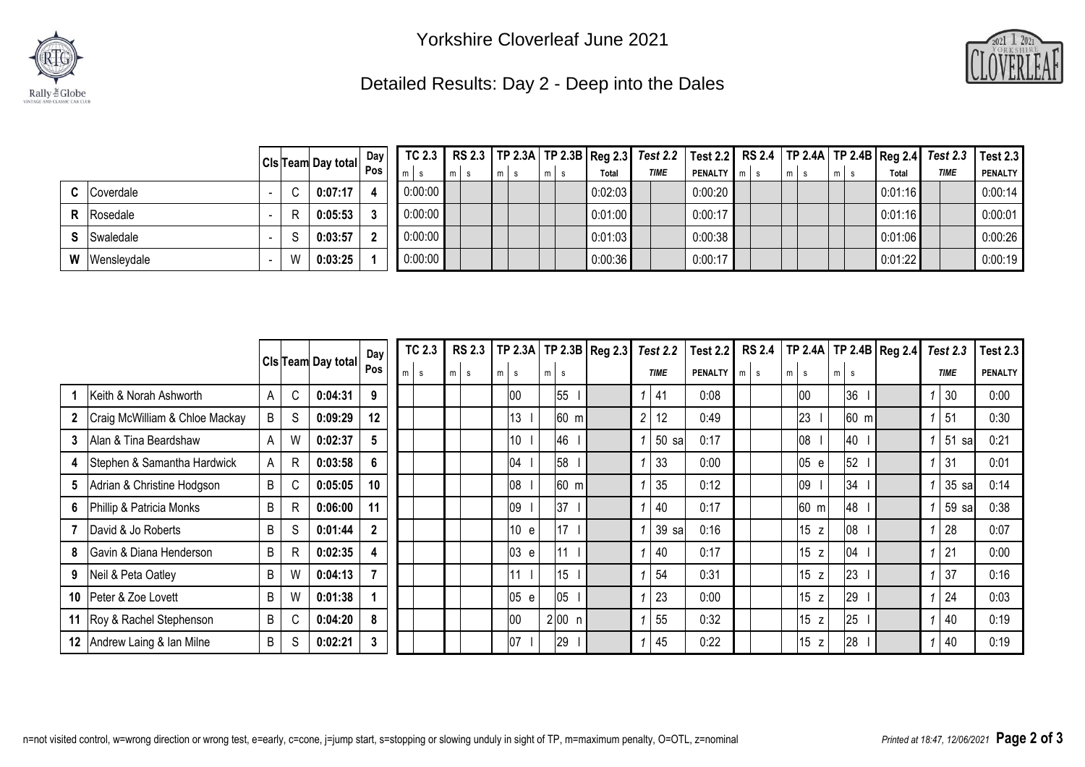



## Detailed Results: Day 2 - Deep into the Dales

|                      |    | Cls Team Day total Day |         |      |      |                |         | TC 2.3   RS 2.3   TP 2.3A   TP 2.3B   Reg 2.3   Test 2.2   Test 2.2   RS 2.4   TP 2.4A   TP 2.4B   Reg 2.4   Test 2.3   Test 2.3 |                    |     |         |             |                |
|----------------------|----|------------------------|---------|------|------|----------------|---------|----------------------------------------------------------------------------------------------------------------------------------|--------------------|-----|---------|-------------|----------------|
|                      |    |                        |         | Imis | Imis | m <sub>1</sub> | Total   | <b>TIME</b>                                                                                                                      | <b>PENALTY</b> m s | m s | Total   | <b>TIME</b> | <b>PENALTY</b> |
| <b>C</b> Coverdale   |    | $0:07:17$              | 0:00:00 |      |      |                | 0:02:03 |                                                                                                                                  | 0:00:20            |     | 0:01:16 |             | 0:00:14        |
| <b>R</b> Rosedale    | R. | 0:05:53                | 0:00:00 |      |      |                | 0:01:00 |                                                                                                                                  | 0:00:17            |     | 0:01:16 |             | 0:00:01        |
| <b>S</b> Swaledale   | S. | 0:03:57                | 0:00:00 |      |      |                | 0:01:03 |                                                                                                                                  | 0:00:38            |     | 0:01:06 |             | 0:00:26        |
| <b>W</b> Wensleydale | W  | 0:03:25                | 0:00:00 |      |      |                | 0:00:36 |                                                                                                                                  | 0:00:17            |     | 0:01:22 |             | 0:00:19        |

|                 |                                |   |   |                           | Day            |   | <b>TC 2.3</b> | <b>RS 2.3</b> |   |          |                | TP 2.3A   TP 2.3B   Reg 2.3 |                | <b>Test 2.2</b> | <b>Test 2.2</b> | <b>RS 2.4</b>    |    |          | TP 2.4A   TP 2.4B   Reg 2.4 |                | <b>Test 2.3</b> | <b>Test 2.3</b> |
|-----------------|--------------------------------|---|---|---------------------------|----------------|---|---------------|---------------|---|----------|----------------|-----------------------------|----------------|-----------------|-----------------|------------------|----|----------|-----------------------------|----------------|-----------------|-----------------|
|                 |                                |   |   | <b>CIs Team Day total</b> | Pos            | m | s.            | m<br><b>S</b> | m | <b>S</b> | $m$ s          |                             |                | <b>TIME</b>     | PENALTY         | $m$ <sub>s</sub> | m. | <b>S</b> | m<br><b>S</b>               |                | <b>TIME</b>     | <b>PENALTY</b>  |
|                 | Keith & Norah Ashworth         | A | C | 0:04:31                   | 9              |   |               |               |   | 00       | 55             |                             |                | 41              | 0:08            |                  |    | 00       | 36                          |                | 30              | 0:00            |
|                 | Craig McWilliam & Chloe Mackay | B | S | 0:09:29                   | 12             |   |               |               |   | 13       | $60 \text{ m}$ |                             | $\overline{2}$ | 12              | 0:49            |                  |    | 23       | 60 m                        |                | 51              | 0:30            |
| 3               | Alan & Tina Beardshaw          | Α | W | 0:02:37                   | 5              |   |               |               |   | 10       | 46             |                             |                | 50 sa           | 0:17            |                  |    | 08       | 40                          |                | 51<br>sal       | 0:21            |
| 4               | Stephen & Samantha Hardwick    | A | R | 0:03:58                   | 6              |   |               |               |   | 04       | 58             |                             |                | 33              | 0:00            |                  |    | 05<br>e  | 52                          |                | 31              | 0:01            |
| 5               | Adrian & Christine Hodgson     | B | C | 0:05:05                   | 10             |   |               |               |   | 80       | $60 \text{ m}$ |                             |                | 35              | 0:12            |                  |    | 09       | $34$                        |                | 35 sa           | 0:14            |
| 6               | Phillip & Patricia Monks       | B | R | 0:06:00                   | 11             |   |               |               |   | 09       | 37             |                             |                | 40              | 0:17            |                  |    | 60 m     | 48                          |                | 59 sa           | 0:38            |
|                 | David & Jo Roberts             | B | S | 0:01:44                   | $\overline{2}$ |   |               |               |   | 10<br>e  | 17             |                             |                | 39 sa           | 0:16            |                  |    | 15z      | 08                          |                | 28              | 0:07            |
| 8               | Gavin & Diana Henderson        | B | R | 0:02:35                   | 4              |   |               |               |   | 03 e     | 11             |                             |                | 40              | 0:17            |                  |    | 15<br>z  | 04                          | $\overline{ }$ | 21              | 0:00            |
| 9               | Neil & Peta Oatley             | B | W | 0:04:13                   | $\overline{7}$ |   |               |               |   | 11       | 15             |                             |                | 54              | 0:31            |                  |    | 15z      | 23                          |                | 37              | 0:16            |
| 10 <sup>°</sup> | Peter & Zoe Lovett             | B | W | 0:01:38                   |                |   |               |               |   | 05 e     | 05             |                             |                | 23              | 0:00            |                  |    | 15<br>z  | 29                          |                | 24              | 0:03            |
| 11              | Roy & Rachel Stephenson        | B | C | 0:04:20                   | 8              |   |               |               |   | 00       | 2 00 n         |                             |                | 55              | 0:32            |                  |    | 15<br>z  | 25                          |                | 40              | 0:19            |
| 12              | Andrew Laing & Ian Milne       | B | S | 0:02:21                   | 3              |   |               |               |   | 07       | 29             |                             |                | 45              | 0:22            |                  |    | 15z      | 28                          |                | 40              | 0:19            |